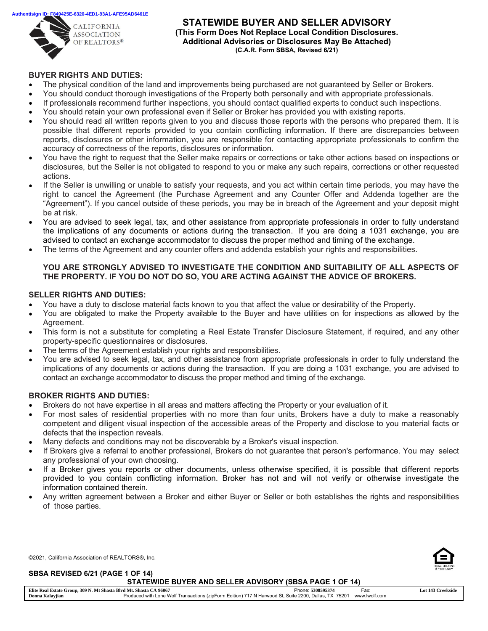

### STATEWIDE BUYER AND SELLER ADVISORY (This Form Does Not Replace Local Condition Disclosures. Additional Advisories or Disclosures May Be Attached) (C.A.R. Form SBSA, Revised 6/21)

### BUYER RIGHTS AND DUTIES:

- The physical condition of the land and improvements being purchased are not guaranteed by Seller or Brokers.
- You should conduct thorough investigations of the Property both personally and with appropriate professionals.
- If professionals recommend further inspections, you should contact qualified experts to conduct such inspections.
- You should retain your own professional even if Seller or Broker has provided you with existing reports.
- You should read all written reports given to you and discuss those reports with the persons who prepared them. It is possible that different reports provided to you contain conflicting information. If there are discrepancies between reports, disclosures or other information, you are responsible for contacting appropriate professionals to confirm the accuracy of correctness of the reports, disclosures or information.
- You have the right to request that the Seller make repairs or corrections or take other actions based on inspections or disclosures, but the Seller is not obligated to respond to you or make any such repairs, corrections or other requested actions.
- If the Seller is unwilling or unable to satisfy your requests, and you act within certain time periods, you may have the right to cancel the Agreement (the Purchase Agreement and any Counter Offer and Addenda together are the "Agreement"). If you cancel outside of these periods, you may be in breach of the Agreement and your deposit might be at risk.
- You are advised to seek legal, tax, and other assistance from appropriate professionals in order to fully understand the implications of any documents or actions during the transaction. If you are doing a 1031 exchange, you are advised to contact an exchange accommodator to discuss the proper method and timing of the exchange.
- The terms of the Agreement and any counter offers and addenda establish your rights and responsibilities.

### YOU ARE STRONGLY ADVISED TO INVESTIGATE THE CONDITION AND SUITABILITY OF ALL ASPECTS OF THE PROPERTY. IF YOU DO NOT DO SO, YOU ARE ACTING AGAINST THE ADVICE OF BROKERS.

### SELLER RIGHTS AND DUTIES:

- You have a duty to disclose material facts known to you that affect the value or desirability of the Property.
- You are obligated to make the Property available to the Buyer and have utilities on for inspections as allowed by the Agreement.
- This form is not a substitute for completing a Real Estate Transfer Disclosure Statement, if required, and any other property-specific questionnaires or disclosures.
- The terms of the Agreement establish your rights and responsibilities.
- You are advised to seek legal, tax, and other assistance from appropriate professionals in order to fully understand the implications of any documents or actions during the transaction. If you are doing a 1031 exchange, you are advised to contact an exchange accommodator to discuss the proper method and timing of the exchange.

### BROKER RIGHTS AND DUTIES:

- Brokers do not have expertise in all areas and matters affecting the Property or your evaluation of it.
- For most sales of residential properties with no more than four units. Brokers have a duty to make a reasonably competent and diligent visual inspection of the accessible areas of the Property and disclose to you material facts or defects that the inspection reveals.
- Many defects and conditions may not be discoverable by a Broker's visual inspection.
- If Brokers give a referral to another professional, Brokers do not guarantee that person's performance. You may select any professional of your own choosing.
- If a Broker gives you reports or other documents, unless otherwise specified, it is possible that different reports provided to you contain conflicting information. Broker has not and will not verify or otherwise investigate the information contained therein.
- Any written agreement between a Broker and either Buyer or Seller or both establishes the rights and responsibilities of those parties.

©2021, California Association of REALTORS®, Inc.

#### SBSA REVISED 6/21 (PAGE 1 OF 14)

STATEWIDE BUYER AND SELLER ADVISORY (SBSA PAGE 1 OF 14)

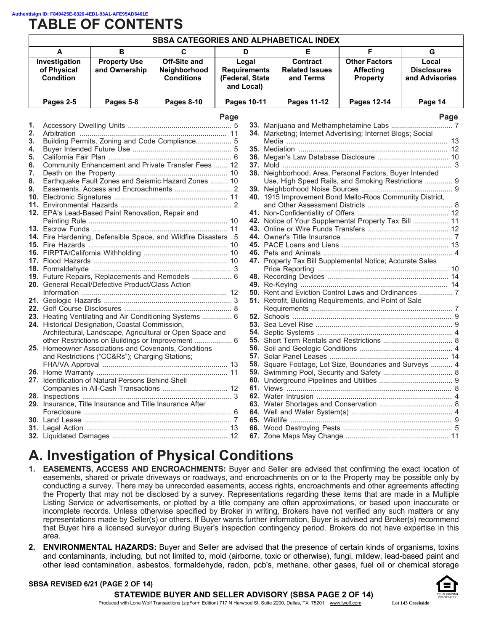## TABLE OF CONTENTS **Authentisign ID: F849425E-6320-4ED1-93A1-AFE95AD6461E**

| SBSA CATEGORIES AND ALPHABETICAL INDEX             |                                                                                                                                                                                                                                                                                                                                                                                                                                                                                                                                                                                                           |                                                                                                                                                           |                                                                                                                                                                          |  |                                                               |                                                                                                                     |                                                             |                                               |  |
|----------------------------------------------------|-----------------------------------------------------------------------------------------------------------------------------------------------------------------------------------------------------------------------------------------------------------------------------------------------------------------------------------------------------------------------------------------------------------------------------------------------------------------------------------------------------------------------------------------------------------------------------------------------------------|-----------------------------------------------------------------------------------------------------------------------------------------------------------|--------------------------------------------------------------------------------------------------------------------------------------------------------------------------|--|---------------------------------------------------------------|---------------------------------------------------------------------------------------------------------------------|-------------------------------------------------------------|-----------------------------------------------|--|
|                                                    | A                                                                                                                                                                                                                                                                                                                                                                                                                                                                                                                                                                                                         | B                                                                                                                                                         | C                                                                                                                                                                        |  | D                                                             | E                                                                                                                   | F                                                           | G                                             |  |
|                                                    | Investigation<br>of Physical<br><b>Condition</b>                                                                                                                                                                                                                                                                                                                                                                                                                                                                                                                                                          | <b>Property Use</b><br>and Ownership                                                                                                                      | <b>Off-Site and</b><br>Neighborhood<br><b>Conditions</b>                                                                                                                 |  | Legal<br><b>Requirements</b><br>(Federal, State<br>and Local) | <b>Contract</b><br><b>Related Issues</b><br>and Terms                                                               | <b>Other Factors</b><br><b>Affecting</b><br><b>Property</b> | Local<br><b>Disclosures</b><br>and Advisories |  |
|                                                    | Pages 2-5                                                                                                                                                                                                                                                                                                                                                                                                                                                                                                                                                                                                 | Pages 5-8                                                                                                                                                 | <b>Pages 8-10</b>                                                                                                                                                        |  | Pages 10-11                                                   | <b>Pages 11-12</b>                                                                                                  | Pages 12-14                                                 | Page 14                                       |  |
| 1.<br>2.<br>3.<br>4.<br>5.<br>6.<br>7.<br>8.<br>9. | Page<br>Page<br>34. Marketing; Internet Advertising; Internet Blogs; Social<br>Building Permits, Zoning and Code Compliance 5<br>Community Enhancement and Private Transfer Fees  12<br>38. Neighborhood, Area, Personal Factors, Buyer Intended<br>Earthquake Fault Zones and Seismic Hazard Zones  10<br>Use, High Speed Rails, and Smoking Restrictions  9<br>40. 1915 Improvement Bond Mello-Roos Community District,<br>12. EPA's Lead-Based Paint Renovation, Repair and<br>42. Notice of Your Supplemental Property Tax Bill  11<br>14. Fire Hardening, Defensible Space, and Wildfire Disasters 5 |                                                                                                                                                           |                                                                                                                                                                          |  |                                                               |                                                                                                                     |                                                             |                                               |  |
|                                                    |                                                                                                                                                                                                                                                                                                                                                                                                                                                                                                                                                                                                           | 20. General Recall/Defective Product/Class Action                                                                                                         |                                                                                                                                                                          |  |                                                               | 47. Property Tax Bill Supplemental Notice; Accurate Sales<br>51. Retrofit, Building Requirements, and Point of Sale |                                                             |                                               |  |
|                                                    |                                                                                                                                                                                                                                                                                                                                                                                                                                                                                                                                                                                                           | 24. Historical Designation, Coastal Commission,<br>25. Homeowner Associations and Covenants, Conditions<br>and Restrictions ("CC&Rs"); Charging Stations; | 23. Heating Ventilating and Air Conditioning Systems  6<br>Architectural, Landscape, Agricultural or Open Space and<br>other Restrictions on Buildings or Improvement  6 |  |                                                               | 58. Square Footage, Lot Size, Boundaries and Surveys  4                                                             |                                                             |                                               |  |
|                                                    |                                                                                                                                                                                                                                                                                                                                                                                                                                                                                                                                                                                                           | 27. Identification of Natural Persons Behind Shell<br>29. Insurance, Title Insurance and Title Insurance After                                            |                                                                                                                                                                          |  |                                                               |                                                                                                                     |                                                             |                                               |  |
|                                                    |                                                                                                                                                                                                                                                                                                                                                                                                                                                                                                                                                                                                           |                                                                                                                                                           |                                                                                                                                                                          |  |                                                               |                                                                                                                     |                                                             |                                               |  |

# A. Investigation of Physical Conditions

- 1. EASEMENTS, ACCESS AND ENCROACHMENTS: Buyer and Seller are advised that confirming the exact location of easements, shared or private driveways or roadways, and encroachments on or to the Property may be possible only by conducting a survey. There may be unrecorded easements, access rights, encroachments and other agreements affecting the Property that may not be disclosed by a survey. Representations regarding these items that are made in a Multiple Listing Service or advertisements, or plotted by a title company are often approximations, or based upon inaccurate or incomplete records. Unless otherwise specified by Broker in writing, Brokers have not verified any such matters or any representations made by Seller(s) or others. If Buyer wants further information, Buyer is advised and Broker(s) recommend that Buyer hire a licensed surveyor during Buyer's inspection contingency period. Brokers do not have expertise in this area.
- 2. ENVIRONMENTAL HAZARDS: Buyer and Seller are advised that the presence of certain kinds of organisms, toxins and contaminants, including, but not limited to, mold (airborne, toxic or otherwise), fungi, mildew, lead-based paint and other lead contamination, asbestos, formaldehyde, radon, pcb's, methane, other gases, fuel oil or chemical storage



SBSA REVISED 6/21 (PAGE 2 OF 14)

STATEWIDE BUYER AND SELLER ADVISORY (SBSA PAGE 2 OF 14) Produced with Lone Wolf Transactions (zipForm Edition) 717 N Harwood St, Suite 2200, Dallas, TX 75201 www.lwolf.com **Lot 143 Creekside**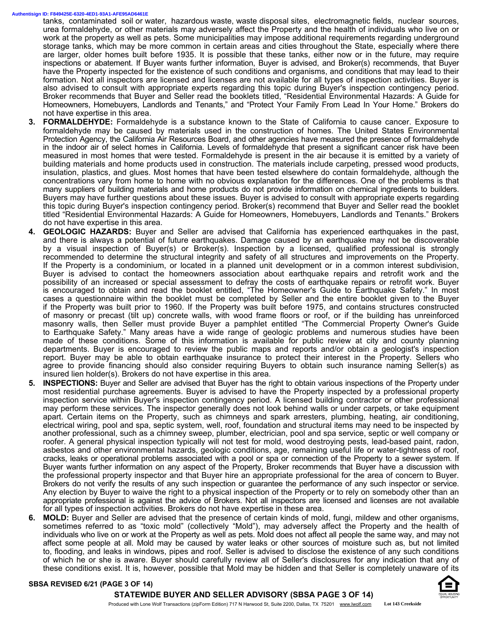tanks, contaminated soil or water, hazardous waste, waste disposal sites, electromagnetic fields, nuclear sources, urea formaldehyde, or other materials may adversely affect the Property and the health of individuals who live on or work at the property as well as pets. Some municipalities may impose additional requirements regarding underground storage tanks, which may be more common in certain areas and cities throughout the State, especially where there are larger, older homes built before 1935. It is possible that these tanks, either now or in the future, may require inspections or abatement. If Buyer wants further information, Buyer is advised, and Broker(s) recommends, that Buyer have the Property inspected for the existence of such conditions and organisms, and conditions that may lead to their formation. Not all inspectors are licensed and licenses are not available for all types of inspection activities. Buyer is also advised to consult with appropriate experts regarding this topic during Buyer's inspection contingency period. Broker recommends that Buyer and Seller read the booklets titled, "Residential Environmental Hazards: A Guide for Homeowners, Homebuyers, Landlords and Tenants," and "Protect Your Family From Lead In Your Home." Brokers do not have expertise in this area.

- 3. FORMALDEHYDE: Formaldehyde is a substance known to the State of California to cause cancer. Exposure to formaldehyde may be caused by materials used in the construction of homes. The United States Environmental Protection Agency, the California Air Resources Board, and other agencies have measured the presence of formaldehyde in the indoor air of select homes in California. Levels of formaldehyde that present a significant cancer risk have been measured in most homes that were tested. Formaldehyde is present in the air because it is emitted by a variety of building materials and home products used in construction. The materials include carpeting, pressed wood products, insulation, plastics, and glues. Most homes that have been tested elsewhere do contain formaldehyde, although the concentrations vary from home to home with no obvious explanation for the differences. One of the problems is that many suppliers of building materials and home products do not provide information on chemical ingredients to builders. Buyers may have further questions about these issues. Buyer is advised to consult with appropriate experts regarding this topic during Buyer's inspection contingency period. Broker(s) recommend that Buyer and Seller read the booklet titled "Residential Environmental Hazards: A Guide for Homeowners, Homebuyers, Landlords and Tenants." Brokers do not have expertise in this area.
- GEOLOGIC HAZARDS: Buyer and Seller are advised that California has experienced earthquakes in the past, and there is always a potential of future earthquakes. Damage caused by an earthquake may not be discoverable by a visual inspection of Buyer(s) or Broker(s). Inspection by a licensed, qualified professional is strongly recommended to determine the structural integrity and safety of all structures and improvements on the Property. If the Property is a condominium, or located in a planned unit development or in a common interest subdivision, Buyer is advised to contact the homeowners association about earthquake repairs and retrofit work and the possibility of an increased or special assessment to defray the costs of earthquake repairs or retrofit work. Buyer is encouraged to obtain and read the booklet entitled, "The Homeowner's Guide to Earthquake Safety." In most cases a questionnaire within the booklet must be completed by Seller and the entire booklet given to the Buyer if the Property was built prior to 1960. If the Property was built before 1975, and contains structures constructed of masonry or precast (tilt up) concrete walls, with wood frame floors or roof, or if the building has unreinforced masonry walls, then Seller must provide Buyer a pamphlet entitled "The Commercial Property Owner's Guide to Earthquake Safety." Many areas have a wide range of geologic problems and numerous studies have been made of these conditions. Some of this information is available for public review at city and county planning departments. Buyer is encouraged to review the public maps and reports and/or obtain a geologist's inspection report. Buyer may be able to obtain earthquake insurance to protect their interest in the Property. Sellers who agree to provide financing should also consider requiring Buyers to obtain such insurance naming Seller(s) as insured lien holder(s). Brokers do not have expertise in this area.
- 5. INSPECTIONS: Buyer and Seller are advised that Buyer has the right to obtain various inspections of the Property under most residential purchase agreements. Buyer is advised to have the Property inspected by a professional property inspection service within Buyer's inspection contingency period. A licensed building contractor or other professional may perform these services. The inspector generally does not look behind walls or under carpets, or take equipment apart. Certain items on the Property, such as chimneys and spark arresters, plumbing, heating, air conditioning, electrical wiring, pool and spa, septic system, well, roof, foundation and structural items may need to be inspected by another professional, such as a chimney sweep, plumber, electrician, pool and spa service, septic or well company or roofer. A general physical inspection typically will not test for mold, wood destroying pests, lead-based paint, radon, asbestos and other environmental hazards, geologic conditions, age, remaining useful life or water-tightness of roof, cracks, leaks or operational problems associated with a pool or spa or connection of the Property to a sewer system. If Buyer wants further information on any aspect of the Property, Broker recommends that Buyer have a discussion with the professional property inspector and that Buyer hire an appropriate professional for the area of concern to Buyer. Brokers do not verify the results of any such inspection or guarantee the performance of any such inspector or service. Any election by Buyer to waive the right to a physical inspection of the Property or to rely on somebody other than an appropriate professional is against the advice of Brokers. Not all inspectors are licensed and licenses are not available for all types of inspection activities. Brokers do not have expertise in these area.
- 6. MOLD: Buyer and Seller are advised that the presence of certain kinds of mold, fungi, mildew and other organisms, sometimes referred to as "toxic mold" (collectively "Mold"), may adversely affect the Property and the health of individuals who live on or work at the Property as well as pets. Mold does not affect all people the same way, and may not affect some people at all. Mold may be caused by water leaks or other sources of moisture such as, but not limited to, flooding, and leaks in windows, pipes and roof. Seller is advised to disclose the existence of any such conditions of which he or she is aware. Buyer should carefully review all of Seller's disclosures for any indication that any of these conditions exist. It is, however, possible that Mold may be hidden and that Seller is completely unaware of its

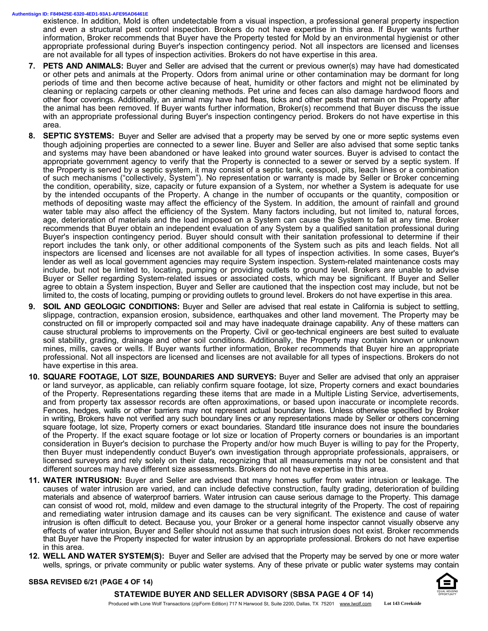existence. In addition, Mold is often undetectable from a visual inspection, a professional general property inspection and even a structural pest control inspection. Brokers do not have expertise in this area. If Buyer wants further information, Broker recommends that Buyer have the Property tested for Mold by an environmental hygienist or other appropriate professional during Buyer's inspection contingency period. Not all inspectors are licensed and licenses are not available for all types of inspection activities. Brokers do not have expertise in this area.

- 7. PETS AND ANIMALS: Buyer and Seller are advised that the current or previous owner(s) may have had domesticated or other pets and animals at the Property. Odors from animal urine or other contamination may be dormant for long periods of time and then become active because of heat, humidity or other factors and might not be eliminated by cleaning or replacing carpets or other cleaning methods. Pet urine and feces can also damage hardwood floors and other floor coverings. Additionally, an animal may have had fleas, ticks and other pests that remain on the Property after the animal has been removed. If Buyer wants further information, Broker(s) recommend that Buyer discuss the issue with an appropriate professional during Buyer's inspection contingency period. Brokers do not have expertise in this area.
- 8. SEPTIC SYSTEMS: Buyer and Seller are advised that a property may be served by one or more septic systems even though adjoining properties are connected to a sewer line. Buyer and Seller are also advised that some septic tanks and systems may have been abandoned or have leaked into ground water sources. Buyer is advised to contact the appropriate government agency to verify that the Property is connected to a sewer or served by a septic system. If the Property is served by a septic system, it may consist of a septic tank, cesspool, pits, leach lines or a combination of such mechanisms ("collectively, System"). No representation or warranty is made by Seller or Broker concerning the condition, operability, size, capacity or future expansion of a System, nor whether a System is adequate for use by the intended occupants of the Property. A change in the number of occupants or the quantity, composition or methods of depositing waste may affect the efficiency of the System. In addition, the amount of rainfall and ground water table may also affect the efficiency of the System. Many factors including, but not limited to, natural forces, age, deterioration of materials and the load imposed on a System can cause the System to fail at any time. Broker recommends that Buyer obtain an independent evaluation of any System by a qualified sanitation professional during Buyer's inspection contingency period. Buyer should consult with their sanitation professional to determine if their report includes the tank only, or other additional components of the System such as pits and leach fields. Not all inspectors are licensed and licenses are not available for all types of inspection activities. In some cases, Buyer's lender as well as local government agencies may require System inspection. System-related maintenance costs may include, but not be limited to, locating, pumping or providing outlets to ground level. Brokers are unable to advise Buyer or Seller regarding System-related issues or associated costs, which may be significant. If Buyer and Seller agree to obtain a System inspection, Buyer and Seller are cautioned that the inspection cost may include, but not be limited to, the costs of locating, pumping or providing outlets to ground level. Brokers do not have expertise in this area.
- 9. SOIL AND GEOLOGIC CONDITIONS: Buyer and Seller are advised that real estate in California is subject to settling, slippage, contraction, expansion erosion, subsidence, earthquakes and other land movement. The Property may be constructed on fill or improperly compacted soil and may have inadequate drainage capability. Any of these matters can cause structural problems to improvements on the Property. Civil or geo-technical engineers are best suited to evaluate soil stability, grading, drainage and other soil conditions. Additionally, the Property may contain known or unknown mines, mills, caves or wells. If Buyer wants further information, Broker recommends that Buyer hire an appropriate professional. Not all inspectors are licensed and licenses are not available for all types of inspections. Brokers do not have expertise in this area.
- 10. SQUARE FOOTAGE, LOT SIZE, BOUNDARIES AND SURVEYS: Buyer and Seller are advised that only an appraiser or land surveyor, as applicable, can reliably confirm square footage, lot size, Property corners and exact boundaries of the Property. Representations regarding these items that are made in a Multiple Listing Service, advertisements, and from property tax assessor records are often approximations, or based upon inaccurate or incomplete records. Fences, hedges, walls or other barriers may not represent actual boundary lines. Unless otherwise specified by Broker in writing, Brokers have not verified any such boundary lines or any representations made by Seller or others concerning square footage, lot size, Property corners or exact boundaries. Standard title insurance does not insure the boundaries of the Property. If the exact square footage or lot size or location of Property corners or boundaries is an important consideration in Buyer's decision to purchase the Property and/or how much Buyer is willing to pay for the Property, then Buyer must independently conduct Buyer's own investigation through appropriate professionals, appraisers, or licensed surveyors and rely solely on their data, recognizing that all measurements may not be consistent and that different sources may have different size assessments. Brokers do not have expertise in this area.
- **11. WATER INTRUSION:** Buyer and Seller are advised that many homes suffer from water intrusion or leakage. The causes of water intrusion are varied, and can include defective construction, faulty grading, deterioration of building materials and absence of waterproof barriers. Water intrusion can cause serious damage to the Property. This damage can consist of wood rot, mold, mildew and even damage to the structural integrity of the Property. The cost of repairing and remediating water intrusion damage and its causes can be very significant. The existence and cause of water intrusion is often difficult to detect. Because you, your Broker or a general home inspector cannot visually observe any effects of water intrusion, Buyer and Seller should not assume that such intrusion does not exist. Broker recommends that Buyer have the Property inspected for water intrusion by an appropriate professional. Brokers do not have expertise in this area.
- 12. WELL AND WATER SYSTEM(S): Buyer and Seller are advised that the Property may be served by one or more water wells, springs, or private community or public water systems. Any of these private or public water systems may contain



SBSA REVISED 6/21 (PAGE 4 OF 14)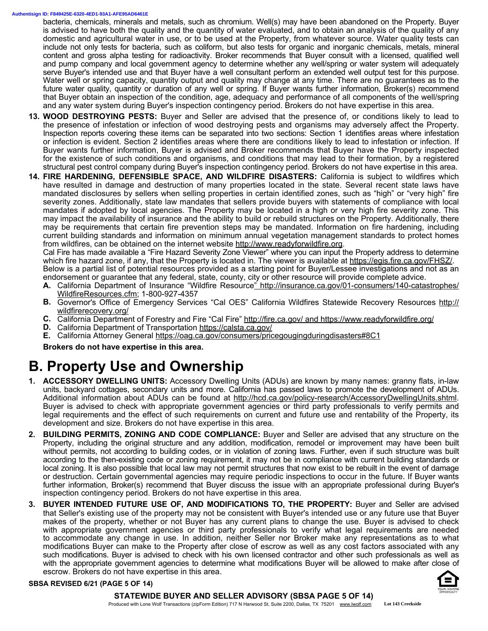bacteria, chemicals, minerals and metals, such as chromium. Well(s) may have been abandoned on the Property. Buyer is advised to have both the quality and the quantity of water evaluated, and to obtain an analysis of the quality of any domestic and agricultural water in use, or to be used at the Property, from whatever source. Water quality tests can include not only tests for bacteria, such as coliform, but also tests for organic and inorganic chemicals, metals, mineral content and gross alpha testing for radioactivity. Broker recommends that Buyer consult with a licensed, qualified well and pump company and local government agency to determine whether any well/spring or water system will adequately serve Buyer's intended use and that Buyer have a well consultant perform an extended well output test for this purpose. Water well or spring capacity, quantity output and quality may change at any time. There are no guarantees as to the future water quality, quantity or duration of any well or spring. If Buyer wants further information, Broker(s) recommend that Buyer obtain an inspection of the condition, age, adequacy and performance of all components of the well/spring and any water system during Buyer's inspection contingency period. Brokers do not have expertise in this area.

- **13. WOOD DESTROYING PESTS:** Buyer and Seller are advised that the presence of, or conditions likely to lead to the presence of infestation or infection of wood destroying pests and organisms may adversely affect the Property. Inspection reports covering these items can be separated into two sections: Section 1 identifies areas where infestation or infection is evident. Section 2 identifies areas where there are conditions likely to lead to infestation or infection. If Buyer wants further information, Buyer is advised and Broker recommends that Buyer have the Property inspected for the existence of such conditions and organisms, and conditions that may lead to their formation, by a registered structural pest control company during Buyer's inspection contingency period. Brokers do not have expertise in this area.
- 14. FIRE HARDENING, DEFENSIBLE SPACE, AND WILDFIRE DISASTERS: California is subject to wildfires which have resulted in damage and destruction of many properties located in the state. Several recent state laws have mandated disclosures by sellers when selling properties in certain identified zones, such as "high" or "very high" fire severity zones. Additionally, state law mandates that sellers provide buyers with statements of compliance with local mandates if adopted by local agencies. The Property may be located in a high or very high fire severity zone. This may impact the availability of insurance and the ability to build or rebuild structures on the Property. Additionally, there may be requirements that certain fire prevention steps may be mandated. Information on fire hardening, including current building standards and information on minimum annual vegetation management standards to protect homes from wildfires, can be obtained on the internet website http://www.readyforwildfire.org.

Cal Fire has made available a "Fire Hazard Severity Zone Viewer" where you can input the Property address to determine which fire hazard zone, if any, that the Property is located in. The viewer is available at https://egis.fire.ca.gov/FHSZ/. Below is a partial list of potential resources provided as a starting point for Buyer/Lessee investigations and not as an

- endorsement or guarantee that any federal, state, county, city or other resource will provide complete advice.
- A. California Department of Insurance "Wildfire Resource<u>" http://insurance.ca.gov/01-consumers/140-catastrophes/</u> WildfireResources.cfm; 1-800-927-4357
- B. Governor's Office of Emergency Services "Cal OES" California Wildfires Statewide Recovery Resources http:// wildfirerecovery.org/
- C. California Department of Forestry and Fire "Cal Fire" http://fire.ca.gov/ and https://www.readyforwildfire.org/
- D. California Department of Transportation https://calsta.ca.gov/
- E. California Attorney General https://oag.ca.gov/consumers/pricegougingduringdisasters#8C1

Brokers do not have expertise in this area.

# B. Property Use and Ownership

- 1. ACCESSORY DWELLING UNITS: Accessory Dwelling Units (ADUs) are known by many names: granny flats, in-law units, backyard cottages, secondary units and more. California has passed laws to promote the development of ADUs. Additional information about ADUs can be found at http://hcd.ca.gov/policy-research/AccessoryDwellingUnits.shtml. Buyer is advised to check with appropriate government agencies or third party professionals to verify permits and legal requirements and the effect of such requirements on current and future use and rentability of the Property, its development and size. Brokers do not have expertise in this area.
- 2. BUILDING PERMITS, ZONING AND CODE COMPLIANCE: Buyer and Seller are advised that any structure on the Property, including the original structure and any addition, modification, remodel or improvement may have been built without permits, not according to building codes, or in violation of zoning laws. Further, even if such structure was built according to the then-existing code or zoning requirement, it may not be in compliance with current building standards or local zoning. It is also possible that local law may not permit structures that now exist to be rebuilt in the event of damage or destruction. Certain governmental agencies may require periodic inspections to occur in the future. If Buyer wants further information, Broker(s) recommend that Buyer discuss the issue with an appropriate professional during Buyer's inspection contingency period. Brokers do not have expertise in this area.
- 3. BUYER INTENDED FUTURE USE OF, AND MODIFICATIONS TO, THE PROPERTY: Buyer and Seller are advised that Seller's existing use of the property may not be consistent with Buyer's intended use or any future use that Buyer makes of the property, whether or not Buyer has any current plans to change the use. Buyer is advised to check with appropriate government agencies or third party professionals to verify what legal requirements are needed to accommodate any change in use. In addition, neither Seller nor Broker make any representations as to what modifications Buyer can make to the Property after close of escrow as well as any cost factors associated with any such modifications. Buyer is advised to check with his own licensed contractor and other such professionals as well as with the appropriate government agencies to determine what modifications Buyer will be allowed to make after close of escrow. Brokers do not have expertise in this area.



SBSA REVISED 6/21 (PAGE 5 OF 14)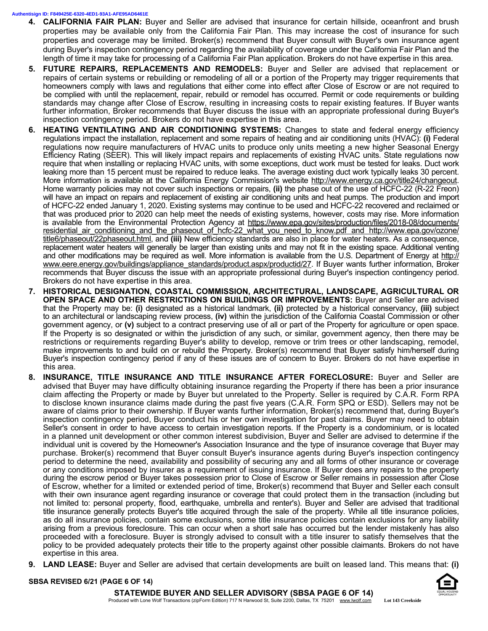- 4. CALIFORNIA FAIR PLAN: Buyer and Seller are advised that insurance for certain hillside, oceanfront and brush properties may be available only from the California Fair Plan. This may increase the cost of insurance for such properties and coverage may be limited. Broker(s) recommend that Buyer consult with Buyer's own insurance agent during Buyer's inspection contingency period regarding the availability of coverage under the California Fair Plan and the length of time it may take for processing of a California Fair Plan application. Brokers do not have expertise in this area.
- 5. FUTURE REPAIRS, REPLACEMENTS AND REMODELS: Buyer and Seller are advised that replacement or repairs of certain systems or rebuilding or remodeling of all or a portion of the Property may trigger requirements that homeowners comply with laws and regulations that either come into effect after Close of Escrow or are not required to be complied with until the replacement, repair, rebuild or remodel has occurred. Permit or code requirements or building standards may change after Close of Escrow, resulting in increasing costs to repair existing features. If Buyer wants further information, Broker recommends that Buyer discuss the issue with an appropriate professional during Buyer's inspection contingency period. Brokers do not have expertise in this area.
- 6. HEATING VENTILATING AND AIR CONDITIONING SYSTEMS: Changes to state and federal energy efficiency regulations impact the installation, replacement and some repairs of heating and air conditioning units (HVAC): (i) Federal regulations now require manufacturers of HVAC units to produce only units meeting a new higher Seasonal Energy Efficiency Rating (SEER). This will likely impact repairs and replacements of existing HVAC units. State regulations now require that when installing or replacing HVAC units, with some exceptions, duct work must be tested for leaks. Duct work leaking more than 15 percent must be repaired to reduce leaks. The average existing duct work typically leaks 30 percent. More information is available at the California Energy Commission's website http://www.energy.ca.gov/title24/changeout. Home warranty policies may not cover such inspections or repairs, (ii) the phase out of the use of HCFC-22 (R-22 Freon) will have an impact on repairs and replacement of existing air conditioning units and heat pumps. The production and import of HCFC-22 ended January 1, 2020. Existing systems may continue to be used and HCFC-22 recovered and reclaimed or that was produced prior to 2020 can help meet the needs of existing systems, however, costs may rise. More information is available from the Environmental Protection Agency at https://www.epa.gov/sites/production/files/2018-08/documents/ residential\_air\_conditioning\_and\_the\_phaseout\_of\_hcfc-22\_what\_you\_need\_to\_know.pdf and http://www.epa.gov/ozone/ title6/phaseout/22phaseout.html, and (iii) New efficiency standards are also in place for water heaters. As a consequence, replacement water heaters will generally be larger than existing units and may not fit in the existing space. Additional venting and other modifications may be required as well. More information is available from the U.S. Department of Energy at http:// www.eere.energy.gov/buildings/appliance\_standards/product.aspx/productid/27. If Buyer wants further information, Broker recommends that Buyer discuss the issue with an appropriate professional during Buyer's inspection contingency period. Brokers do not have expertise in this area.
- 7. HISTORICAL DESIGNATION, COASTAL COMMISSION, ARCHITECTURAL, LANDSCAPE, AGRICULTURAL OR OPEN SPACE AND OTHER RESTRICTIONS ON BUILDINGS OR IMPROVEMENTS: Buyer and Seller are advised that the Property may be: (i) designated as a historical landmark, (ii) protected by a historical conservancy, (iii) subject to an architectural or landscaping review process, (iv) within the jurisdiction of the California Coastal Commission or other government agency, or (v) subject to a contract preserving use of all or part of the Property for agriculture or open space. If the Property is so designated or within the jurisdiction of any such, or similar, government agency, then there may be restrictions or requirements regarding Buyer's ability to develop, remove or trim trees or other landscaping, remodel, make improvements to and build on or rebuild the Property. Broker(s) recommend that Buyer satisfy him/herself during Buyer's inspection contingency period if any of these issues are of concern to Buyer. Brokers do not have expertise in this area.
- 8. INSURANCE, TITLE INSURANCE AND TITLE INSURANCE AFTER FORECLOSURE: Buyer and Seller are advised that Buyer may have difficulty obtaining insurance regarding the Property if there has been a prior insurance claim affecting the Property or made by Buyer but unrelated to the Property. Seller is required by C.A.R. Form RPA to disclose known insurance claims made during the past five years (C.A.R. Form SPQ or ESD). Sellers may not be aware of claims prior to their ownership. If Buyer wants further information, Broker(s) recommend that, during Buyer's inspection contingency period, Buyer conduct his or her own investigation for past claims. Buyer may need to obtain Seller's consent in order to have access to certain investigation reports. If the Property is a condominium, or is located in a planned unit development or other common interest subdivision, Buyer and Seller are advised to determine if the individual unit is covered by the Homeowner's Association Insurance and the type of insurance coverage that Buyer may purchase. Broker(s) recommend that Buyer consult Buyer's insurance agents during Buyer's inspection contingency period to determine the need, availability and possibility of securing any and all forms of other insurance or coverage or any conditions imposed by insurer as a requirement of issuing insurance. If Buyer does any repairs to the property during the escrow period or Buyer takes possession prior to Close of Escrow or Seller remains in possession after Close of Escrow, whether for a limited or extended period of time, Broker(s) recommend that Buyer and Seller each consult with their own insurance agent regarding insurance or coverage that could protect them in the transaction (including but not limited to: personal property, flood, earthquake, umbrella and renter's). Buyer and Seller are advised that traditional title insurance generally protects Buyer's title acquired through the sale of the property. While all title insurance policies, as do all insurance policies, contain some exclusions, some title insurance policies contain exclusions for any liability arising from a previous foreclosure. This can occur when a short sale has occurred but the lender mistakenly has also proceeded with a foreclosure. Buyer is strongly advised to consult with a title insurer to satisfy themselves that the policy to be provided adequately protects their title to the property against other possible claimants. Brokers do not have expertise in this area.
- 9. LAND LEASE: Buyer and Seller are advised that certain developments are built on leased land. This means that: (i)



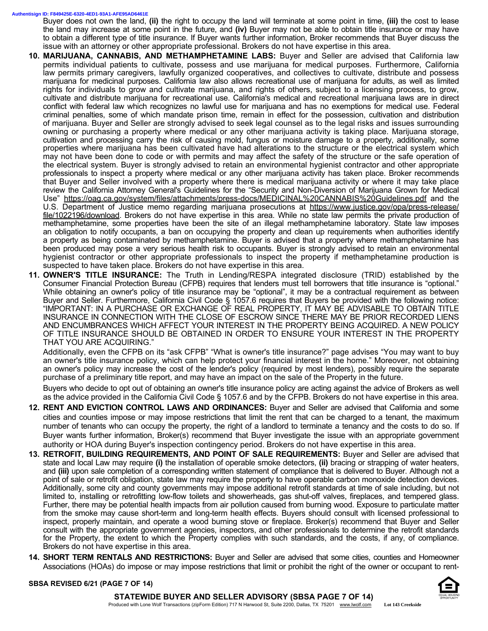Buyer does not own the land, (ii) the right to occupy the land will terminate at some point in time, (iii) the cost to lease the land may increase at some point in the future, and (iv) Buyer may not be able to obtain title insurance or may have to obtain a different type of title insurance. If Buyer wants further information, Broker recommends that Buyer discuss the issue with an attorney or other appropriate professional. Brokers do not have expertise in this area.

- 10. MARIJUANA, CANNABIS, AND METHAMPHETAMINE LABS: Buyer and Seller are advised that California law permits individual patients to cultivate, possess and use marijuana for medical purposes. Furthermore, California law permits primary caregivers, lawfully organized cooperatives, and collectives to cultivate, distribute and possess marijuana for medicinal purposes. California law also allows recreational use of marijuana for adults, as well as limited rights for individuals to grow and cultivate marijuana, and rights of others, subject to a licensing process, to grow, cultivate and distribute marijuana for recreational use. California's medical and recreational marijuana laws are in direct conflict with federal law which recognizes no lawful use for marijuana and has no exemptions for medical use. Federal criminal penalties, some of which mandate prison time, remain in effect for the possession, cultivation and distribution of marijuana. Buyer and Seller are strongly advised to seek legal counsel as to the legal risks and issues surrounding owning or purchasing a property where medical or any other marijuana activity is taking place. Marijuana storage, cultivation and processing carry the risk of causing mold, fungus or moisture damage to a property, additionally, some properties where marijuana has been cultivated have had alterations to the structure or the electrical system which may not have been done to code or with permits and may affect the safety of the structure or the safe operation of the electrical system. Buyer is strongly advised to retain an environmental hygienist contractor and other appropriate professionals to inspect a property where medical or any other marijuana activity has taken place. Broker recommends that Buyer and Seller involved with a property where there is medical marijuana activity or where it may take place review the California Attorney General's Guidelines for the "Security and Non-Diversion of Marijuana Grown for Medical Use" https://oag.ca.gov/system/files/attachments/press-docs/MEDICINAL%20CANNABIS%20Guidelines.pdf and the U.S. Department of Justice memo regarding marijuana prosecutions at https://www.justice.gov/opa/press-release/ file/1022196/download. Brokers do not have expertise in this area. While no state law permits the private production of methamphetamine, some properties have been the site of an illegal methamphetamine laboratory. State law imposes an obligation to notify occupants, a ban on occupying the property and clean up requirements when authorities identify a property as being contaminated by methamphetamine. Buyer is advised that a property where methamphetamine has been produced may pose a very serious health risk to occupants. Buyer is strongly advised to retain an environmental hygienist contractor or other appropriate professionals to inspect the property if methamphetamine production is suspected to have taken place. Brokers do not have expertise in this area.
- 11. OWNER'S TITLE INSURANCE: The Truth in Lending/RESPA integrated disclosure (TRID) established by the Consumer Financial Protection Bureau (CFPB) requires that lenders must tell borrowers that title insurance is "optional." While obtaining an owner's policy of title insurance may be "optional", it may be a contractual requirement as between Buyer and Seller. Furthermore, California Civil Code § 1057.6 requires that Buyers be provided with the following notice: "IMPORTANT: IN A PURCHASE OR EXCHANGE OF REAL PROPERTY, IT MAY BE ADVISABLE TO OBTAIN TITLE INSURANCE IN CONNECTION WITH THE CLOSE OF ESCROW SINCE THERE MAY BE PRIOR RECORDED LIENS AND ENCUMBRANCES WHICH AFFECT YOUR INTEREST IN THE PROPERTY BEING ACQUIRED. A NEW POLICY OF TITLE INSURANCE SHOULD BE OBTAINED IN ORDER TO ENSURE YOUR INTEREST IN THE PROPERTY THAT YOU ARE ACQUIRING."

Additionally, even the CFPB on its "ask CFPB" "What is owner's title insurance?" page advises "You may want to buy an owner's title insurance policy, which can help protect your financial interest in the home." Moreover, not obtaining an owner's policy may increase the cost of the lender's policy (required by most lenders), possibly require the separate purchase of a preliminary title report, and may have an impact on the sale of the Property in the future.

Buyers who decide to opt out of obtaining an owner's title insurance policy are acting against the advice of Brokers as well as the advice provided in the California Civil Code § 1057.6 and by the CFPB. Brokers do not have expertise in this area.

- 12. RENT AND EVICTION CONTROL LAWS AND ORDINANCES: Buyer and Seller are advised that California and some cities and counties impose or may impose restrictions that limit the rent that can be charged to a tenant, the maximum number of tenants who can occupy the property, the right of a landlord to terminate a tenancy and the costs to do so. If Buyer wants further information, Broker(s) recommend that Buyer investigate the issue with an appropriate government authority or HOA during Buyer's inspection contingency period. Brokers do not have expertise in this area.
- 13. RETROFIT, BUILDING REQUIREMENTS, AND POINT OF SALE REQUIREMENTS: Buyer and Seller are advised that state and local Law may require (i) the installation of operable smoke detectors, (ii) bracing or strapping of water heaters, and (iii) upon sale completion of a corresponding written statement of compliance that is delivered to Buyer. Although not a point of sale or retrofit obligation, state law may require the property to have operable carbon monoxide detection devices. Additionally, some city and county governments may impose additional retrofit standards at time of sale including, but not limited to, installing or retrofitting low-flow toilets and showerheads, gas shut-off valves, fireplaces, and tempered glass. Further, there may be potential health impacts from air pollution caused from burning wood. Exposure to particulate matter from the smoke may cause short-term and long-term health effects. Buyers should consult with licensed professional to inspect, properly maintain, and operate a wood burning stove or fireplace. Broker(s) recommend that Buyer and Seller consult with the appropriate government agencies, inspectors, and other professionals to determine the retrofit standards for the Property, the extent to which the Property complies with such standards, and the costs, if any, of compliance. Brokers do not have expertise in this area.
- 14. SHORT TERM RENTALS AND RESTRICTIONS: Buyer and Seller are advised that some cities, counties and Homeowner Associations (HOAs) do impose or may impose restrictions that limit or prohibit the right of the owner or occupant to rent-



SBSA REVISED 6/21 (PAGE 7 OF 14)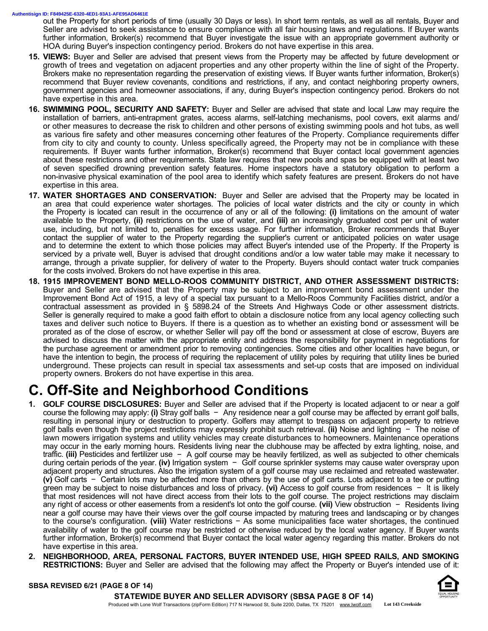out the Property for short periods of time (usually 30 Days or less). In short term rentals, as well as all rentals, Buyer and Seller are advised to seek assistance to ensure compliance with all fair housing laws and regulations. If Buyer wants further information, Broker(s) recommend that Buyer investigate the issue with an appropriate government authority or HOA during Buyer's inspection contingency period. Brokers do not have expertise in this area.

- 15. VIEWS: Buyer and Seller are advised that present views from the Property may be affected by future development or growth of trees and vegetation on adjacent properties and any other property within the line of sight of the Property. Brokers make no representation regarding the preservation of existing views. If Buyer wants further information, Broker(s) recommend that Buyer review covenants, conditions and restrictions, if any, and contact neighboring property owners, government agencies and homeowner associations, if any, during Buyer's inspection contingency period. Brokers do not have expertise in this area.
- 16. SWIMMING POOL, SECURITY AND SAFETY: Buyer and Seller are advised that state and local Law may require the installation of barriers, anti-entrapment grates, access alarms, self-latching mechanisms, pool covers, exit alarms and/ or other measures to decrease the risk to children and other persons of existing swimming pools and hot tubs, as well as various fire safety and other measures concerning other features of the Property. Compliance requirements differ from city to city and county to county. Unless specifically agreed, the Property may not be in compliance with these requirements. If Buyer wants further information, Broker(s) recommend that Buyer contact local government agencies about these restrictions and other requirements. State law requires that new pools and spas be equipped with at least two of seven specified drowning prevention safety features. Home inspectors have a statutory obligation to perform a non-invasive physical examination of the pool area to identify which safety features are present. Brokers do not have expertise in this area.
- 17. WATER SHORTAGES AND CONSERVATION: Buyer and Seller are advised that the Property may be located in an area that could experience water shortages. The policies of local water districts and the city or county in which the Property is located can result in the occurrence of any or all of the following: (i) limitations on the amount of water available to the Property, (ii) restrictions on the use of water, and (iii) an increasingly graduated cost per unit of water use, including, but not limited to, penalties for excess usage. For further information, Broker recommends that Buyer contact the supplier of water to the Property regarding the supplier's current or anticipated policies on water usage and to determine the extent to which those policies may affect Buyer's intended use of the Property. If the Property is serviced by a private well, Buyer is advised that drought conditions and/or a low water table may make it necessary to arrange, through a private supplier, for delivery of water to the Property. Buyers should contact water truck companies for the costs involved. Brokers do not have expertise in this area.
- 18. 1915 IMPROVEMENT BOND MELLO-ROOS COMMUNITY DISTRICT, AND OTHER ASSESSMENT DISTRICTS: Buyer and Seller are advised that the Property may be subject to an improvement bond assessment under the Improvement Bond Act of 1915, a levy of a special tax pursuant to a Mello-Roos Community Facilities district, and/or a contractual assessment as provided in § 5898.24 of the Streets And Highways Code or other assessment districts. Seller is generally required to make a good faith effort to obtain a disclosure notice from any local agency collecting such taxes and deliver such notice to Buyers. If there is a question as to whether an existing bond or assessment will be prorated as of the close of escrow, or whether Seller will pay off the bond or assessment at close of escrow, Buyers are advised to discuss the matter with the appropriate entity and address the responsibility for payment in negotiations for the purchase agreement or amendment prior to removing contingencies. Some cities and other localities have begun, or have the intention to begin, the process of requiring the replacement of utility poles by requiring that utility lines be buried underground. These projects can result in special tax assessments and set-up costs that are imposed on individual property owners. Brokers do not have expertise in this area.

## C. Off-Site and Neighborhood Conditions

- 1. GOLF COURSE DISCLOSURES: Buyer and Seller are advised that if the Property is located adjacent to or near a golf course the following may apply: (i) Stray golf balls − Any residence near a golf course may be affected by errant golf balls, resulting in personal injury or destruction to property. Golfers may attempt to trespass on adjacent property to retrieve golf balls even though the project restrictions may expressly prohibit such retrieval. (ii) Noise and lighting − The noise of lawn mowers irrigation systems and utility vehicles may create disturbances to homeowners. Maintenance operations may occur in the early morning hours. Residents living near the clubhouse may be affected by extra lighting, noise, and traffic. (iii) Pesticides and fertilizer use − A golf course may be heavily fertilized, as well as subjected to other chemicals during certain periods of the year. (iv) Irrigation system - Golf course sprinkler systems may cause water overspray upon adjacent property and structures. Also the irrigation system of a golf course may use reclaimed and retreated wastewater. (v) Golf carts − Certain lots may be affected more than others by the use of golf carts. Lots adjacent to a tee or putting green may be subject to noise disturbances and loss of privacy. (vi) Access to golf course from residences − It is likely that most residences will not have direct access from their lots to the golf course. The project restrictions may disclaim any right of access or other easements from a resident's lot onto the golf course. (vii) View obstruction − Residents living near a golf course may have their views over the golf course impacted by maturing trees and landscaping or by changes to the course's configuration. (viii) Water restrictions − As some municipalities face water shortages, the continued availability of water to the golf course may be restricted or otherwise reduced by the local water agency. If Buyer wants further information, Broker(s) recommend that Buyer contact the local water agency regarding this matter. Brokers do not have expertise in this area.
- 2. NEIGHBORHOOD, AREA, PERSONAL FACTORS, BUYER INTENDED USE, HIGH SPEED RAILS, AND SMOKING RESTRICTIONS: Buyer and Seller are advised that the following may affect the Property or Buyer's intended use of it:



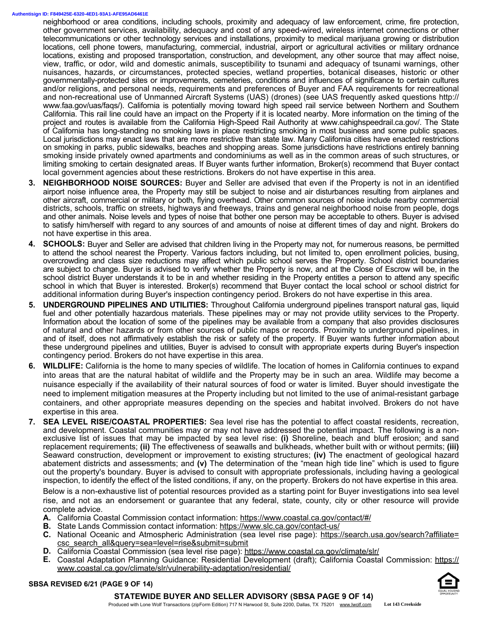neighborhood or area conditions, including schools, proximity and adequacy of law enforcement, crime, fire protection, other government services, availability, adequacy and cost of any speed-wired, wireless internet connections or other telecommunications or other technology services and installations, proximity to medical marijuana growing or distribution locations, cell phone towers, manufacturing, commercial, industrial, airport or agricultural activities or military ordnance locations, existing and proposed transportation, construction, and development, any other source that may affect noise, view, traffic, or odor, wild and domestic animals, susceptibility to tsunami and adequacy of tsunami warnings, other nuisances, hazards, or circumstances, protected species, wetland properties, botanical diseases, historic or other governmentally-protected sites or improvements, cemeteries, conditions and influences of significance to certain cultures and/or religions, and personal needs, requirements and preferences of Buyer and FAA requirements for recreational and non-recreational use of Unmanned Aircraft Systems (UAS) (drones) (see UAS frequently asked questions http:// www.faa.gov/uas/faqs/). California is potentially moving toward high speed rail service between Northern and Southern California. This rail line could have an impact on the Property if it is located nearby. More information on the timing of the project and routes is available from the California High-Speed Rail Authority at www.cahighspeedrail.ca.gov/. The State of California has long-standing no smoking laws in place restricting smoking in most business and some public spaces. Local jurisdictions may enact laws that are more restrictive than state law. Many California cities have enacted restrictions on smoking in parks, public sidewalks, beaches and shopping areas. Some jurisdictions have restrictions entirely banning smoking inside privately owned apartments and condominiums as well as in the common areas of such structures, or limiting smoking to certain designated areas. If Buyer wants further information, Broker(s) recommend that Buyer contact local government agencies about these restrictions. Brokers do not have expertise in this area.

- 3. NEIGHBORHOOD NOISE SOURCES: Buyer and Seller are advised that even if the Property is not in an identified airport noise influence area, the Property may still be subject to noise and air disturbances resulting from airplanes and other aircraft, commercial or military or both, flying overhead. Other common sources of noise include nearby commercial districts, schools, traffic on streets, highways and freeways, trains and general neighborhood noise from people, dogs and other animals. Noise levels and types of noise that bother one person may be acceptable to others. Buyer is advised to satisfy him/herself with regard to any sources of and amounts of noise at different times of day and night. Brokers do not have expertise in this area.
- 4. SCHOOLS: Buyer and Seller are advised that children living in the Property may not, for numerous reasons, be permitted to attend the school nearest the Property. Various factors including, but not limited to, open enrollment policies, busing, overcrowding and class size reductions may affect which public school serves the Property. School district boundaries are subject to change. Buyer is advised to verify whether the Property is now, and at the Close of Escrow will be, in the school district Buyer understands it to be in and whether residing in the Property entitles a person to attend any specific school in which that Buyer is interested. Broker(s) recommend that Buyer contact the local school or school district for additional information during Buyer's inspection contingency period. Brokers do not have expertise in this area.
- 5. UNDERGROUND PIPELINES AND UTILITIES: Throughout California underground pipelines transport natural gas, liquid fuel and other potentially hazardous materials. These pipelines may or may not provide utility services to the Property. Information about the location of some of the pipelines may be available from a company that also provides disclosures of natural and other hazards or from other sources of public maps or records. Proximity to underground pipelines, in and of itself, does not affirmatively establish the risk or safety of the property. If Buyer wants further information about these underground pipelines and utilities, Buyer is advised to consult with appropriate experts during Buyer's inspection contingency period. Brokers do not have expertise in this area.
- 6. WILDLIFE: California is the home to many species of wildlife. The location of homes in California continues to expand into areas that are the natural habitat of wildlife and the Property may be in such an area. Wildlife may become a nuisance especially if the availability of their natural sources of food or water is limited. Buyer should investigate the need to implement mitigation measures at the Property including but not limited to the use of animal-resistant garbage containers, and other appropriate measures depending on the species and habitat involved. Brokers do not have expertise in this area.
- 7. SEA LEVEL RISE/COASTAL PROPERTIES: Sea level rise has the potential to affect coastal residents, recreation, and development. Coastal communities may or may not have addressed the potential impact. The following is a nonexclusive list of issues that may be impacted by sea level rise: (i) Shoreline, beach and bluff erosion; and sand replacement requirements; (ii) The effectiveness of seawalls and bulkheads, whether built with or without permits; (iii) Seaward construction, development or improvement to existing structures; (iv) The enactment of geological hazard abatement districts and assessments; and  $(v)$  The determination of the "mean high tide line" which is used to figure out the property's boundary. Buyer is advised to consult with appropriate professionals, including having a geological inspection, to identify the effect of the listed conditions, if any, on the property. Brokers do not have expertise in this area.

Below is a non-exhaustive list of potential resources provided as a starting point for Buyer investigations into sea level rise, and not as an endorsement or guarantee that any federal, state, county, city or other resource will provide complete advice.

- A. California Coastal Commission contact information: https://www.coastal.ca.gov/contact/#/
- **B.** State Lands Commission contact information: https://www.slc.ca.gov/contact-us/
- C. National Oceanic and Atmospheric Administration (sea level rise page): https://search.usa.gov/search?affiliate= csc\_search\_all&query=sea=level=rise&submit=submit
- D. California Coastal Commission (sea level rise page): https://www.coastal.ca.gov/climate/slr/
- E. Coastal Adaptation Planning Guidance: Residential Development (draft); California Coastal Commission: https:// www.coastal.ca.gov/climate/slr/vulnerability-adaptation/residential/



SBSA REVISED 6/21 (PAGE 9 OF 14)

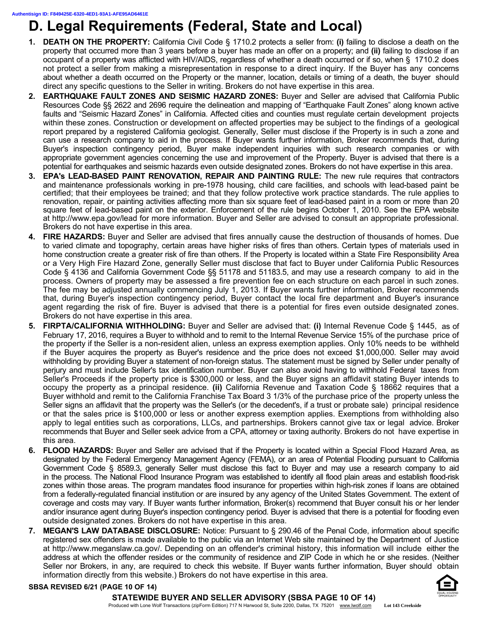## D. Legal Requirements (Federal, State and Local)

- 1. DEATH ON THE PROPERTY: California Civil Code § 1710.2 protects a seller from: (i) failing to disclose a death on the property that occurred more than 3 years before a buyer has made an offer on a property; and (ii) failing to disclose if an occupant of a property was afflicted with HIV/AIDS, regardless of whether a death occurred or if so, when § 1710.2 does not protect a seller from making a misrepresentation in response to a direct inquiry. If the Buyer has any concerns about whether a death occurred on the Property or the manner, location, details or timing of a death, the buyer should direct any specific questions to the Seller in writing. Brokers do not have expertise in this area.
- 2. **EARTHQUAKE FAULT ZONES AND SEISMIC HAZARD ZONES:** Buyer and Seller are advised that California Public Resources Code §§ 2622 and 2696 require the delineation and mapping of "Earthquake Fault Zones" along known active faults and "Seismic Hazard Zones" in California. Affected cities and counties must regulate certain development projects within these zones. Construction or development on affected properties may be subject to the findings of a geological report prepared by a registered California geologist. Generally, Seller must disclose if the Property is in such a zone and can use a research company to aid in the process. If Buyer wants further information, Broker recommends that, during Buyer's inspection contingency period, Buyer make independent inquiries with such research companies or with appropriate government agencies concerning the use and improvement of the Property. Buyer is advised that there is a potential for earthquakes and seismic hazards even outside designated zones. Brokers do not have expertise in this area.
- EPA's LEAD-BASED PAINT RENOVATION, REPAIR AND PAINTING RULE: The new rule requires that contractors and maintenance professionals working in pre-1978 housing, child care facilities, and schools with lead-based paint be certified; that their employees be trained; and that they follow protective work practice standards. The rule applies to renovation, repair, or painting activities affecting more than six square feet of lead-based paint in a room or more than 20 square feet of lead-based paint on the exterior. Enforcement of the rule begins October 1, 2010. See the EPA website at http://www.epa.gov/lead for more information. Buyer and Seller are advised to consult an appropriate professional. Brokers do not have expertise in this area.
- 4. FIRE HAZARDS: Buyer and Seller are advised that fires annually cause the destruction of thousands of homes. Due to varied climate and topography, certain areas have higher risks of fires than others. Certain types of materials used in home construction create a greater risk of fire than others. If the Property is located within a State Fire Responsibility Area or a Very High Fire Hazard Zone, generally Seller must disclose that fact to Buyer under California Public Resources Code § 4136 and California Government Code §§ 51178 and 51183.5, and may use a research company to aid in the process. Owners of property may be assessed a fire prevention fee on each structure on each parcel in such zones. The fee may be adjusted annually commencing July 1, 2013. If Buyer wants further information, Broker recommends that, during Buyer's inspection contingency period, Buyer contact the local fire department and Buyer's insurance agent regarding the risk of fire. Buyer is advised that there is a potential for fires even outside designated zones. Brokers do not have expertise in this area.
- 5. FIRPTA/CALIFORNIA WITHHOLDING: Buyer and Seller are advised that: (i) Internal Revenue Code § 1445, as of February 17, 2016, requires a Buyer to withhold and to remit to the Internal Revenue Service 15% of the purchase price of the property if the Seller is a non-resident alien, unless an express exemption applies. Only 10% needs to be withheld if the Buyer acquires the property as Buyer's residence and the price does not exceed \$1,000,000. Seller may avoid withholding by providing Buyer a statement of non-foreign status. The statement must be signed by Seller under penalty of perjury and must include Seller's tax identification number. Buyer can also avoid having to withhold Federal taxes from Seller's Proceeds if the property price is \$300,000 or less, and the Buyer signs an affidavit stating Buyer intends to occupy the property as a principal residence. (ii) California Revenue and Taxation Code § 18662 requires that a Buyer withhold and remit to the California Franchise Tax Board 3 1/3% of the purchase price of the property unless the Seller signs an affidavit that the property was the Seller's (or the decedent's, if a trust or probate sale) principal residence or that the sales price is \$100,000 or less or another express exemption applies. Exemptions from withholding also apply to legal entities such as corporations, LLCs, and partnerships. Brokers cannot give tax or legal advice. Broker recommends that Buyer and Seller seek advice from a CPA, attorney or taxing authority. Brokers do not have expertise in this area.
- 6. FLOOD HAZARDS: Buyer and Seller are advised that if the Property is located within a Special Flood Hazard Area, as designated by the Federal Emergency Management Agency (FEMA), or an area of Potential Flooding pursuant to California Government Code § 8589.3, generally Seller must disclose this fact to Buyer and may use a research company to aid in the process. The National Flood Insurance Program was established to identify all flood plain areas and establish flood-risk zones within those areas. The program mandates flood insurance for properties within high-risk zones if loans are obtained from a federally-regulated financial institution or are insured by any agency of the United States Government. The extent of coverage and costs may vary. If Buyer wants further information, Broker(s) recommend that Buyer consult his or her lender and/or insurance agent during Buyer's inspection contingency period. Buyer is advised that there is a potential for flooding even outside designated zones. Brokers do not have expertise in this area.
- 7. MEGAN'S LAW DATABASE DISCLOSURE: Notice: Pursuant to § 290.46 of the Penal Code, information about specific registered sex offenders is made available to the public via an Internet Web site maintained by the Department of Justice at http://www.meganslaw.ca.gov/. Depending on an offender's criminal history, this information will include either the address at which the offender resides or the community of residence and ZIP Code in which he or she resides. (Neither Seller nor Brokers, in any, are required to check this website. If Buyer wants further information, Buyer should obtain information directly from this website.) Brokers do not have expertise in this area.



SBSA REVISED 6/21 (PAGE 10 OF 14)

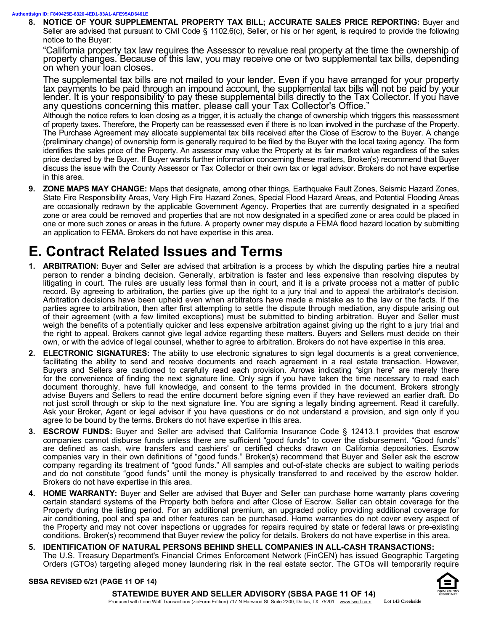8. NOTICE OF YOUR SUPPLEMENTAL PROPERTY TAX BILL; ACCURATE SALES PRICE REPORTING: Buyer and Seller are advised that pursuant to Civil Code § 1102.6(c), Seller, or his or her agent, is required to provide the following notice to the Buyer:

"California property tax law requires the Assessor to revalue real property at the time the ownership of property changes. Because of this law, you may receive one or two supplemental tax bills, depending on when your loan closes.

The supplemental tax bills are not mailed to your lender. Even if you have arranged for your property tax payments to be paid through an impound account, the supplemental tax bills will not be paid by your lender. It is your responsibility to pay these supplemental bills directly to the Tax Collector. If you have any questions concerning this matter, please call your Tax Collector's Office."

Although the notice refers to loan closing as a trigger, it is actually the change of ownership which triggers this reassessment of property taxes. Therefore, the Property can be reassessed even if there is no loan involved in the purchase of the Property. The Purchase Agreement may allocate supplemental tax bills received after the Close of Escrow to the Buyer. A change (preliminary change) of ownership form is generally required to be filed by the Buyer with the local taxing agency. The form identifies the sales price of the Property. An assessor may value the Property at its fair market value regardless of the sales price declared by the Buyer. If Buyer wants further information concerning these matters, Broker(s) recommend that Buyer discuss the issue with the County Assessor or Tax Collector or their own tax or legal advisor. Brokers do not have expertise in this area.

9. ZONE MAPS MAY CHANGE: Maps that designate, among other things, Earthquake Fault Zones, Seismic Hazard Zones, State Fire Responsibility Areas, Very High Fire Hazard Zones, Special Flood Hazard Areas, and Potential Flooding Areas are occasionally redrawn by the applicable Government Agency. Properties that are currently designated in a specified zone or area could be removed and properties that are not now designated in a specified zone or area could be placed in one or more such zones or areas in the future. A property owner may dispute a FEMA flood hazard location by submitting an application to FEMA. Brokers do not have expertise in this area.

## E. Contract Related Issues and Terms

- 1. **ARBITRATION:** Buyer and Seller are advised that arbitration is a process by which the disputing parties hire a neutral person to render a binding decision. Generally, arbitration is faster and less expensive than resolving disputes by litigating in court. The rules are usually less formal than in court, and it is a private process not a matter of public record. By agreeing to arbitration, the parties give up the right to a jury trial and to appeal the arbitrator's decision. Arbitration decisions have been upheld even when arbitrators have made a mistake as to the law or the facts. If the parties agree to arbitration, then after first attempting to settle the dispute through mediation, any dispute arising out of their agreement (with a few limited exceptions) must be submitted to binding arbitration. Buyer and Seller must weigh the benefits of a potentially quicker and less expensive arbitration against giving up the right to a jury trial and the right to appeal. Brokers cannot give legal advice regarding these matters. Buyers and Sellers must decide on their own, or with the advice of legal counsel, whether to agree to arbitration. Brokers do not have expertise in this area.
- 2. **ELECTRONIC SIGNATURES:** The ability to use electronic signatures to sign legal documents is a great convenience, facilitating the ability to send and receive documents and reach agreement in a real estate transaction. However, Buyers and Sellers are cautioned to carefully read each provision. Arrows indicating "sign here" are merely there for the convenience of finding the next signature line. Only sign if you have taken the time necessary to read each document thoroughly, have full knowledge, and consent to the terms provided in the document. Brokers strongly advise Buyers and Sellers to read the entire document before signing even if they have reviewed an earlier draft. Do not just scroll through or skip to the next signature line. You are signing a legally binding agreement. Read it carefully. Ask your Broker, Agent or legal advisor if you have questions or do not understand a provision, and sign only if you agree to be bound by the terms. Brokers do not have expertise in this area.
- **3. ESCROW FUNDS:** Buyer and Seller are advised that California Insurance Code § 12413.1 provides that escrow companies cannot disburse funds unless there are sufficient "good funds" to cover the disbursement. "Good funds" are defined as cash, wire transfers and cashiers' or certified checks drawn on California depositories. Escrow companies vary in their own definitions of "good funds." Broker(s) recommend that Buyer and Seller ask the escrow company regarding its treatment of "good funds." All samples and out-of-state checks are subject to waiting periods and do not constitute "good funds" until the money is physically transferred to and received by the escrow holder. Brokers do not have expertise in this area.
- 4. HOME WARRANTY: Buyer and Seller are advised that Buyer and Seller can purchase home warranty plans covering certain standard systems of the Property both before and after Close of Escrow. Seller can obtain coverage for the Property during the listing period. For an additional premium, an upgraded policy providing additional coverage for air conditioning, pool and spa and other features can be purchased. Home warranties do not cover every aspect of the Property and may not cover inspections or upgrades for repairs required by state or federal laws or pre-existing conditions. Broker(s) recommend that Buyer review the policy for details. Brokers do not have expertise in this area.
- 5. IDENTIFICATION OF NATURAL PERSONS BEHIND SHELL COMPANIES IN ALL-CASH TRANSACTIONS:

The U.S. Treasury Department's Financial Crimes Enforcement Network (FinCEN) has issued Geographic Targeting Orders (GTOs) targeting alleged money laundering risk in the real estate sector. The GTOs will temporarily require



SBSA REVISED 6/21 (PAGE 11 OF 14)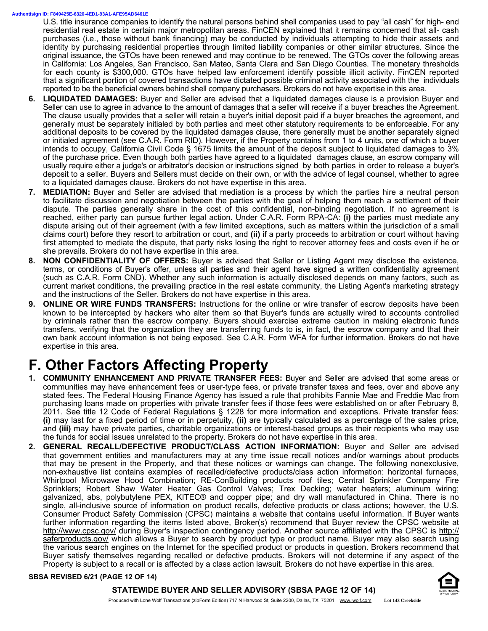U.S. title insurance companies to identify the natural persons behind shell companies used to pay "all cash" for high- end residential real estate in certain major metropolitan areas. FinCEN explained that it remains concerned that all- cash purchases (i.e., those without bank financing) may be conducted by individuals attempting to hide their assets and identity by purchasing residential properties through limited liability companies or other similar structures. Since the original issuance, the GTOs have been renewed and may continue to be renewed. The GTOs cover the following areas in California: Los Angeles, San Francisco, San Mateo, Santa Clara and San Diego Counties. The monetary thresholds for each county is \$300,000. GTOs have helped law enforcement identify possible illicit activity. FinCEN reported that a significant portion of covered transactions have dictated possible criminal activity associated with the individuals reported to be the beneficial owners behind shell company purchasers. Brokers do not have expertise in this area.

- 6. LIQUIDATED DAMAGES: Buyer and Seller are advised that a liquidated damages clause is a provision Buyer and Seller can use to agree in advance to the amount of damages that a seller will receive if a buyer breaches the Agreement. The clause usually provides that a seller will retain a buyer's initial deposit paid if a buyer breaches the agreement, and generally must be separately initialed by both parties and meet other statutory requirements to be enforceable. For any additional deposits to be covered by the liquidated damages clause, there generally must be another separately signed or initialed agreement (see C.A.R. Form RID). However, if the Property contains from 1 to 4 units, one of which a buyer intends to occupy, California Civil Code § 1675 limits the amount of the deposit subject to liquidated damages to 3% of the purchase price. Even though both parties have agreed to a liquidated damages clause, an escrow company will usually require either a judge's or arbitrator's decision or instructions signed by both parties in order to release a buyer's deposit to a seller. Buyers and Sellers must decide on their own, or with the advice of legal counsel, whether to agree to a liquidated damages clause. Brokers do not have expertise in this area.
- 7. MEDIATION: Buyer and Seller are advised that mediation is a process by which the parties hire a neutral person to facilitate discussion and negotiation between the parties with the goal of helping them reach a settlement of their dispute. The parties generally share in the cost of this confidential, non-binding negotiation. If no agreement is reached, either party can pursue further legal action. Under C.A.R. Form RPA-CA: (i) the parties must mediate any dispute arising out of their agreement (with a few limited exceptions, such as matters within the jurisdiction of a small claims court) before they resort to arbitration or court, and (ii) if a party proceeds to arbitration or court without having first attempted to mediate the dispute, that party risks losing the right to recover attorney fees and costs even if he or she prevails. Brokers do not have expertise in this area.
- 8. NON CONFIDENTIALITY OF OFFERS: Buyer is advised that Seller or Listing Agent may disclose the existence, terms, or conditions of Buyer's offer, unless all parties and their agent have signed a written confidentiality agreement (such as C.A.R. Form CND). Whether any such information is actually disclosed depends on many factors, such as current market conditions, the prevailing practice in the real estate community, the Listing Agent's marketing strategy and the instructions of the Seller. Brokers do not have expertise in this area.
- 9. ONLINE OR WIRE FUNDS TRANSFERS: Instructions for the online or wire transfer of escrow deposits have been known to be intercepted by hackers who alter them so that Buyer's funds are actually wired to accounts controlled by criminals rather than the escrow company. Buyers should exercise extreme caution in making electronic funds transfers, verifying that the organization they are transferring funds to is, in fact, the escrow company and that their own bank account information is not being exposed. See C.A.R. Form WFA for further information. Brokers do not have expertise in this area.

# F. Other Factors Affecting Property

- 1. COMMUNITY ENHANCEMENT AND PRIVATE TRANSFER FEES: Buyer and Seller are advised that some areas or communities may have enhancement fees or user-type fees, or private transfer taxes and fees, over and above any stated fees. The Federal Housing Finance Agency has issued a rule that prohibits Fannie Mae and Freddie Mac from purchasing loans made on properties with private transfer fees if those fees were established on or after February 8, 2011. See title 12 Code of Federal Regulations § 1228 for more information and exceptions. Private transfer fees: (i) may last for a fixed period of time or in perpetuity, (ii) are typically calculated as a percentage of the sales price, and (iii) may have private parties, charitable organizations or interest-based groups as their recipients who may use the funds for social issues unrelated to the property. Brokers do not have expertise in this area.
- 2. GENERAL RECALL/DEFECTIVE PRODUCT/CLASS ACTION INFORMATION: Buyer and Seller are advised that government entities and manufacturers may at any time issue recall notices and/or warnings about products that may be present in the Property, and that these notices or warnings can change. The following nonexclusive, non-exhaustive list contains examples of recalled/defective products/class action information: horizontal furnaces, Whirlpool Microwave Hood Combination; RE-ConBuilding products roof tiles; Central Sprinkler Company Fire Sprinklers; Robert Shaw Water Heater Gas Control Valves; Trex Decking; water heaters; aluminum wiring; galvanized, abs, polybutylene PEX, KITEC® and copper pipe; and dry wall manufactured in China. There is no single, all-inclusive source of information on product recalls, defective products or class actions; however, the U.S. Consumer Product Safety Commission (CPSC) maintains a website that contains useful information. If Buyer wants further information regarding the items listed above, Broker(s) recommend that Buyer review the CPSC website at http://www.cpsc.gov/ during Buyer's inspection contingency period. Another source affiliated with the CPSC is http:// saferproducts.gov/ which allows a Buyer to search by product type or product name. Buyer may also search using the various search engines on the Internet for the specified product or products in question. Brokers recommend that Buyer satisfy themselves regarding recalled or defective products. Brokers will not determine if any aspect of the Property is subject to a recall or is affected by a class action lawsuit. Brokers do not have expertise in this area.



STATEWIDE BUYER AND SELLER ADVISORY (SBSA PAGE 12 OF 14)

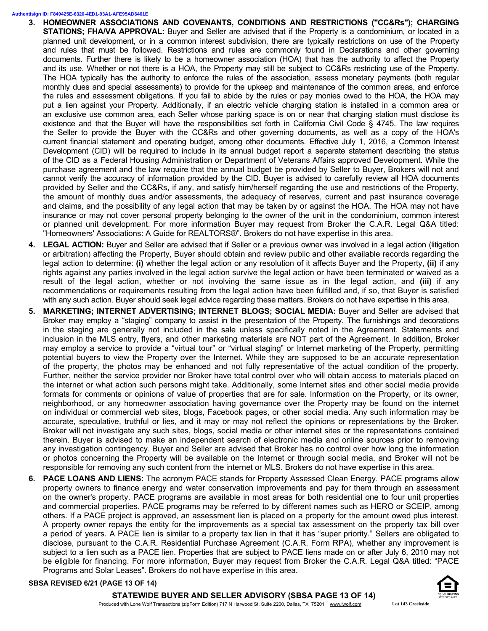- 3. HOMEOWNER ASSOCIATIONS AND COVENANTS, CONDITIONS AND RESTRICTIONS ("CC&Rs"); CHARGING STATIONS; FHA/VA APPROVAL: Buyer and Seller are advised that if the Property is a condominium, or located in a planned unit development, or in a common interest subdivision, there are typically restrictions on use of the Property and rules that must be followed. Restrictions and rules are commonly found in Declarations and other governing documents. Further there is likely to be a homeowner association (HOA) that has the authority to affect the Property and its use. Whether or not there is a HOA, the Property may still be subject to CC&Rs restricting use of the Property. The HOA typically has the authority to enforce the rules of the association, assess monetary payments (both regular monthly dues and special assessments) to provide for the upkeep and maintenance of the common areas, and enforce the rules and assessment obligations. If you fail to abide by the rules or pay monies owed to the HOA, the HOA may put a lien against your Property. Additionally, if an electric vehicle charging station is installed in a common area or an exclusive use common area, each Seller whose parking space is on or near that charging station must disclose its existence and that the Buyer will have the responsibilities set forth in California Civil Code § 4745. The law requires the Seller to provide the Buyer with the CC&Rs and other governing documents, as well as a copy of the HOA's current financial statement and operating budget, among other documents. Effective July 1, 2016, a Common Interest Development (CID) will be required to include in its annual budget report a separate statement describing the status of the CID as a Federal Housing Administration or Department of Veterans Affairs approved Development. While the purchase agreement and the law require that the annual budget be provided by Seller to Buyer, Brokers will not and cannot verify the accuracy of information provided by the CID. Buyer is advised to carefully review all HOA documents provided by Seller and the CC&Rs, if any, and satisfy him/herself regarding the use and restrictions of the Property, the amount of monthly dues and/or assessments, the adequacy of reserves, current and past insurance coverage and claims, and the possibility of any legal action that may be taken by or against the HOA. The HOA may not have insurance or may not cover personal property belonging to the owner of the unit in the condominium, common interest or planned unit development. For more information Buyer may request from Broker the C.A.R. Legal Q&A titled: "Homeowners' Associations: A Guide for REALTORS®". Brokers do not have expertise in this area.
- 4. LEGAL ACTION: Buyer and Seller are advised that if Seller or a previous owner was involved in a legal action (litigation or arbitration) affecting the Property, Buyer should obtain and review public and other available records regarding the legal action to determine: (i) whether the legal action or any resolution of it affects Buyer and the Property, (ii) if any rights against any parties involved in the legal action survive the legal action or have been terminated or waived as a result of the legal action, whether or not involving the same issue as in the legal action, and (iii) if any recommendations or requirements resulting from the legal action have been fulfilled and, if so, that Buyer is satisfied with any such action. Buyer should seek legal advice regarding these matters. Brokers do not have expertise in this area.
- 5. MARKETING; INTERNET ADVERTISING; INTERNET BLOGS; SOCIAL MEDIA: Buyer and Seller are advised that Broker may employ a "staging" company to assist in the presentation of the Property. The furnishings and decorations in the staging are generally not included in the sale unless specifically noted in the Agreement. Statements and inclusion in the MLS entry, flyers, and other marketing materials are NOT part of the Agreement. In addition, Broker may employ a service to provide a "virtual tour" or "virtual staging" or Internet marketing of the Property, permitting potential buyers to view the Property over the Internet. While they are supposed to be an accurate representation of the property, the photos may be enhanced and not fully representative of the actual condition of the property. Further, neither the service provider nor Broker have total control over who will obtain access to materials placed on the internet or what action such persons might take. Additionally, some Internet sites and other social media provide formats for comments or opinions of value of properties that are for sale. Information on the Property, or its owner, neighborhood, or any homeowner association having governance over the Property may be found on the internet on individual or commercial web sites, blogs, Facebook pages, or other social media. Any such information may be accurate, speculative, truthful or lies, and it may or may not reflect the opinions or representations by the Broker. Broker will not investigate any such sites, blogs, social media or other internet sites or the representations contained therein. Buyer is advised to make an independent search of electronic media and online sources prior to removing any investigation contingency. Buyer and Seller are advised that Broker has no control over how long the information or photos concerning the Property will be available on the Internet or through social media, and Broker will not be responsible for removing any such content from the internet or MLS. Brokers do not have expertise in this area.
- 6. PACE LOANS AND LIENS: The acronym PACE stands for Property Assessed Clean Energy. PACE programs allow property owners to finance energy and water conservation improvements and pay for them through an assessment on the owner's property. PACE programs are available in most areas for both residential one to four unit properties and commercial properties. PACE programs may be referred to by different names such as HERO or SCEIP, among others. If a PACE project is approved, an assessment lien is placed on a property for the amount owed plus interest. A property owner repays the entity for the improvements as a special tax assessment on the property tax bill over a period of years. A PACE lien is similar to a property tax lien in that it has "super priority." Sellers are obligated to disclose, pursuant to the C.A.R. Residential Purchase Agreement (C.A.R. Form RPA), whether any improvement is subject to a lien such as a PACE lien. Properties that are subject to PACE liens made on or after July 6, 2010 may not be eligible for financing. For more information, Buyer may request from Broker the C.A.R. Legal Q&A titled: "PACE Programs and Solar Leases". Brokers do not have expertise in this area.



SBSA REVISED 6/21 (PAGE 13 OF 14)